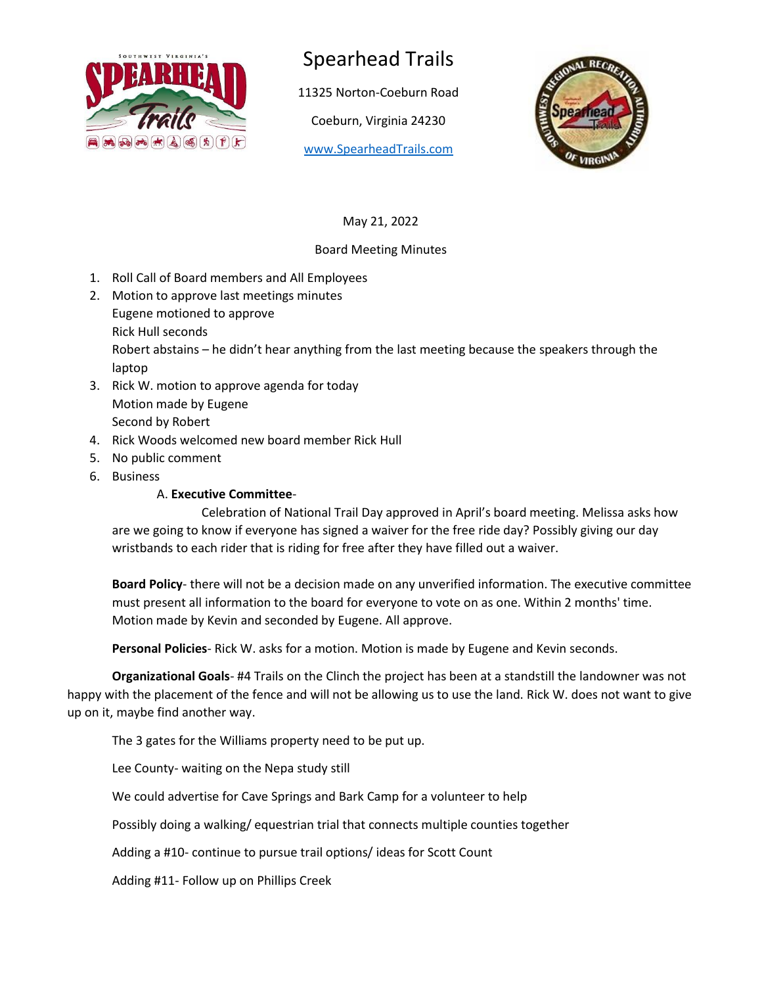

11325 Norton-Coeburn Road Coeburn, Virginia 24230



[www.SpearheadTrails.com](http://www.spearheadtrails.com/)

### May 21, 2022

### Board Meeting Minutes

- 1. Roll Call of Board members and All Employees
- 2. Motion to approve last meetings minutes Eugene motioned to approve Rick Hull seconds Robert abstains – he didn't hear anything from the last meeting because the speakers through the laptop
- 3. Rick W. motion to approve agenda for today Motion made by Eugene Second by Robert
- 4. Rick Woods welcomed new board member Rick Hull
- 5. No public comment
- 6. Business

### A. **Executive Committee**-

Celebration of National Trail Day approved in April's board meeting. Melissa asks how are we going to know if everyone has signed a waiver for the free ride day? Possibly giving our day wristbands to each rider that is riding for free after they have filled out a waiver.

**Board Policy**- there will not be a decision made on any unverified information. The executive committee must present all information to the board for everyone to vote on as one. Within 2 months' time. Motion made by Kevin and seconded by Eugene. All approve.

**Personal Policies**- Rick W. asks for a motion. Motion is made by Eugene and Kevin seconds.

**Organizational Goals**- #4 Trails on the Clinch the project has been at a standstill the landowner was not happy with the placement of the fence and will not be allowing us to use the land. Rick W. does not want to give up on it, maybe find another way.

The 3 gates for the Williams property need to be put up.

Lee County- waiting on the Nepa study still

We could advertise for Cave Springs and Bark Camp for a volunteer to help

Possibly doing a walking/ equestrian trial that connects multiple counties together

Adding a #10- continue to pursue trail options/ ideas for Scott Count

Adding #11- Follow up on Phillips Creek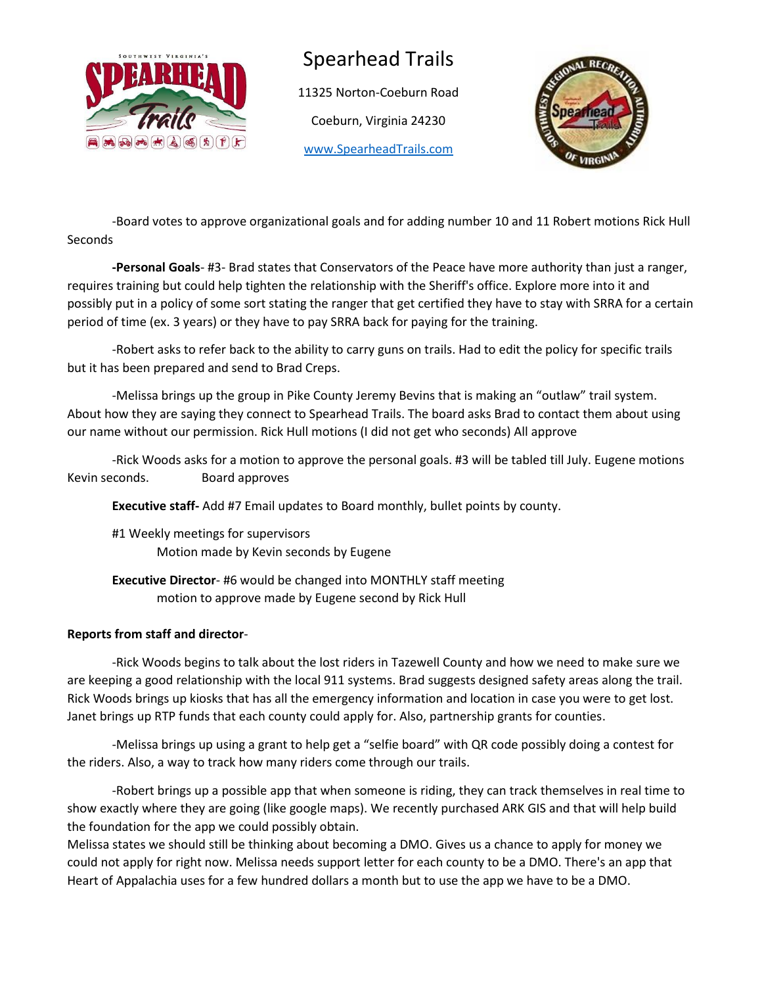

11325 Norton-Coeburn Road Coeburn, Virginia 24230 [www.SpearheadTrails.com](http://www.spearheadtrails.com/)



-Board votes to approve organizational goals and for adding number 10 and 11 Robert motions Rick Hull **Seconds** 

**-Personal Goals**- #3- Brad states that Conservators of the Peace have more authority than just a ranger, requires training but could help tighten the relationship with the Sheriff's office. Explore more into it and possibly put in a policy of some sort stating the ranger that get certified they have to stay with SRRA for a certain period of time (ex. 3 years) or they have to pay SRRA back for paying for the training.

-Robert asks to refer back to the ability to carry guns on trails. Had to edit the policy for specific trails but it has been prepared and send to Brad Creps.

-Melissa brings up the group in Pike County Jeremy Bevins that is making an "outlaw" trail system. About how they are saying they connect to Spearhead Trails. The board asks Brad to contact them about using our name without our permission. Rick Hull motions (I did not get who seconds) All approve

-Rick Woods asks for a motion to approve the personal goals. #3 will be tabled till July. Eugene motions Kevin seconds. Board approves

**Executive staff-** Add #7 Email updates to Board monthly, bullet points by county.

#1 Weekly meetings for supervisors Motion made by Kevin seconds by Eugene

**Executive Director**- #6 would be changed into MONTHLY staff meeting motion to approve made by Eugene second by Rick Hull

### **Reports from staff and director**-

-Rick Woods begins to talk about the lost riders in Tazewell County and how we need to make sure we are keeping a good relationship with the local 911 systems. Brad suggests designed safety areas along the trail. Rick Woods brings up kiosks that has all the emergency information and location in case you were to get lost. Janet brings up RTP funds that each county could apply for. Also, partnership grants for counties.

-Melissa brings up using a grant to help get a "selfie board" with QR code possibly doing a contest for the riders. Also, a way to track how many riders come through our trails.

-Robert brings up a possible app that when someone is riding, they can track themselves in real time to show exactly where they are going (like google maps). We recently purchased ARK GIS and that will help build the foundation for the app we could possibly obtain.

Melissa states we should still be thinking about becoming a DMO. Gives us a chance to apply for money we could not apply for right now. Melissa needs support letter for each county to be a DMO. There's an app that Heart of Appalachia uses for a few hundred dollars a month but to use the app we have to be a DMO.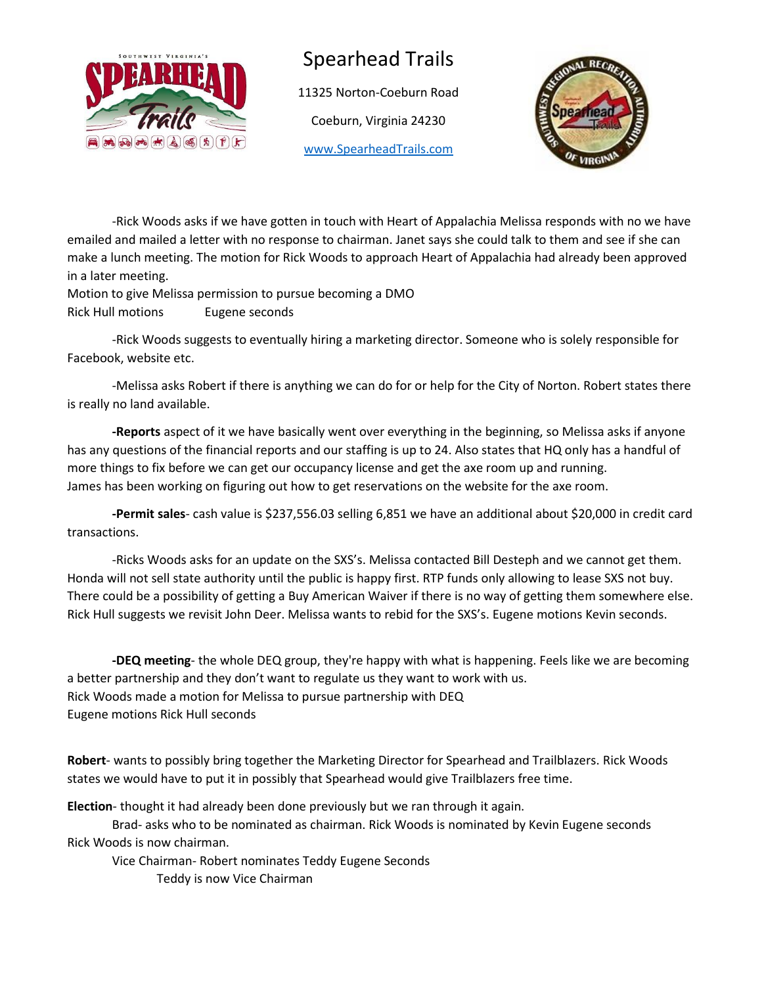

11325 Norton-Coeburn Road Coeburn, Virginia 24230 [www.SpearheadTrails.com](http://www.spearheadtrails.com/)



-Rick Woods asks if we have gotten in touch with Heart of Appalachia Melissa responds with no we have emailed and mailed a letter with no response to chairman. Janet says she could talk to them and see if she can make a lunch meeting. The motion for Rick Woods to approach Heart of Appalachia had already been approved in a later meeting.

Motion to give Melissa permission to pursue becoming a DMO Rick Hull motions Eugene seconds

-Rick Woods suggests to eventually hiring a marketing director. Someone who is solely responsible for Facebook, website etc.

-Melissa asks Robert if there is anything we can do for or help for the City of Norton. Robert states there is really no land available.

**-Reports** aspect of it we have basically went over everything in the beginning, so Melissa asks if anyone has any questions of the financial reports and our staffing is up to 24. Also states that HQ only has a handful of more things to fix before we can get our occupancy license and get the axe room up and running. James has been working on figuring out how to get reservations on the website for the axe room.

**-Permit sales**- cash value is \$237,556.03 selling 6,851 we have an additional about \$20,000 in credit card transactions.

-Ricks Woods asks for an update on the SXS's. Melissa contacted Bill Desteph and we cannot get them. Honda will not sell state authority until the public is happy first. RTP funds only allowing to lease SXS not buy. There could be a possibility of getting a Buy American Waiver if there is no way of getting them somewhere else. Rick Hull suggests we revisit John Deer. Melissa wants to rebid for the SXS's. Eugene motions Kevin seconds.

**-DEQ meeting**- the whole DEQ group, they're happy with what is happening. Feels like we are becoming a better partnership and they don't want to regulate us they want to work with us. Rick Woods made a motion for Melissa to pursue partnership with DEQ Eugene motions Rick Hull seconds

**Robert**- wants to possibly bring together the Marketing Director for Spearhead and Trailblazers. Rick Woods states we would have to put it in possibly that Spearhead would give Trailblazers free time.

**Election**- thought it had already been done previously but we ran through it again.

Brad- asks who to be nominated as chairman. Rick Woods is nominated by Kevin Eugene seconds Rick Woods is now chairman.

Vice Chairman- Robert nominates Teddy Eugene Seconds

Teddy is now Vice Chairman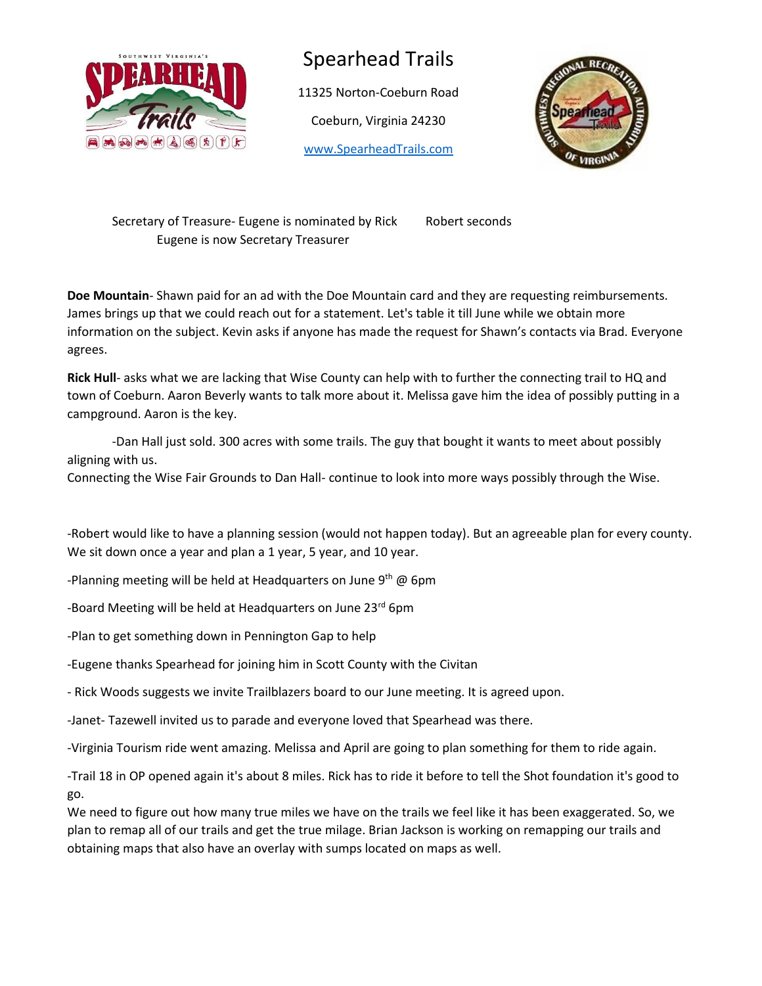

11325 Norton-Coeburn Road Coeburn, Virginia 24230 [www.SpearheadTrails.com](http://www.spearheadtrails.com/)



Secretary of Treasure- Eugene is nominated by Rick Robert seconds Eugene is now Secretary Treasurer

**Doe Mountain**- Shawn paid for an ad with the Doe Mountain card and they are requesting reimbursements. James brings up that we could reach out for a statement. Let's table it till June while we obtain more information on the subject. Kevin asks if anyone has made the request for Shawn's contacts via Brad. Everyone agrees.

**Rick Hull**- asks what we are lacking that Wise County can help with to further the connecting trail to HQ and town of Coeburn. Aaron Beverly wants to talk more about it. Melissa gave him the idea of possibly putting in a campground. Aaron is the key.

-Dan Hall just sold. 300 acres with some trails. The guy that bought it wants to meet about possibly aligning with us.

Connecting the Wise Fair Grounds to Dan Hall- continue to look into more ways possibly through the Wise.

-Robert would like to have a planning session (would not happen today). But an agreeable plan for every county. We sit down once a year and plan a 1 year, 5 year, and 10 year.

-Planning meeting will be held at Headquarters on June  $9<sup>th</sup>$  @ 6pm

-Board Meeting will be held at Headquarters on June 23rd 6pm

-Plan to get something down in Pennington Gap to help

-Eugene thanks Spearhead for joining him in Scott County with the Civitan

- Rick Woods suggests we invite Trailblazers board to our June meeting. It is agreed upon.

-Janet- Tazewell invited us to parade and everyone loved that Spearhead was there.

-Virginia Tourism ride went amazing. Melissa and April are going to plan something for them to ride again.

-Trail 18 in OP opened again it's about 8 miles. Rick has to ride it before to tell the Shot foundation it's good to go.

We need to figure out how many true miles we have on the trails we feel like it has been exaggerated. So, we plan to remap all of our trails and get the true milage. Brian Jackson is working on remapping our trails and obtaining maps that also have an overlay with sumps located on maps as well.